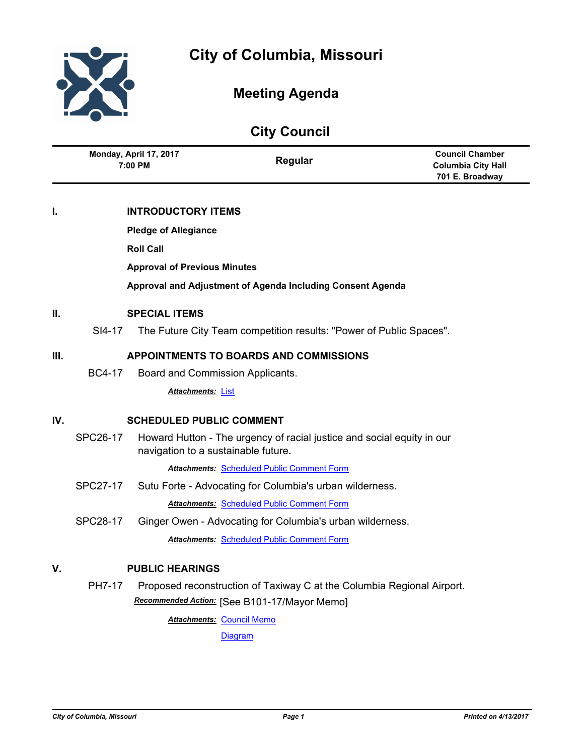

Ĭ.

l,

# **Meeting Agenda**

| <b>City Council</b> |                                     |                           |                                                                                                               |                                                                        |
|---------------------|-------------------------------------|---------------------------|---------------------------------------------------------------------------------------------------------------|------------------------------------------------------------------------|
|                     | Monday, April 17, 2017<br>7:00 PM   |                           | Regular                                                                                                       | <b>Council Chamber</b><br><b>Columbia City Hall</b><br>701 E. Broadway |
| I.                  |                                     | <b>INTRODUCTORY ITEMS</b> |                                                                                                               |                                                                        |
|                     | <b>Pledge of Allegiance</b>         |                           |                                                                                                               |                                                                        |
|                     |                                     | <b>Roll Call</b>          |                                                                                                               |                                                                        |
|                     |                                     |                           |                                                                                                               |                                                                        |
|                     | <b>Approval of Previous Minutes</b> |                           |                                                                                                               |                                                                        |
|                     |                                     |                           | Approval and Adjustment of Agenda Including Consent Agenda                                                    |                                                                        |
| II.                 | <b>SPECIAL ITEMS</b>                |                           |                                                                                                               |                                                                        |
|                     | SI4-17                              |                           | The Future City Team competition results: "Power of Public Spaces".                                           |                                                                        |
| Ш.                  |                                     |                           | <b>APPOINTMENTS TO BOARDS AND COMMISSIONS</b>                                                                 |                                                                        |
|                     | <b>BC4-17</b>                       |                           |                                                                                                               |                                                                        |
|                     |                                     |                           | Board and Commission Applicants.                                                                              |                                                                        |
|                     |                                     | <b>Attachments: List</b>  |                                                                                                               |                                                                        |
| IV.                 | <b>SCHEDULED PUBLIC COMMENT</b>     |                           |                                                                                                               |                                                                        |
|                     | SPC26-17                            |                           | Howard Hutton - The urgency of racial justice and social equity in our<br>navigation to a sustainable future. |                                                                        |
|                     |                                     |                           | <b>Attachments: Scheduled Public Comment Form</b>                                                             |                                                                        |
|                     | <b>SPC27-17</b>                     |                           | Sutu Forte - Advocating for Columbia's urban wilderness.                                                      |                                                                        |
|                     |                                     |                           | <b>Attachments: Scheduled Public Comment Form</b>                                                             |                                                                        |
|                     | <b>SPC28-17</b>                     |                           | Ginger Owen - Advocating for Columbia's urban wilderness.                                                     |                                                                        |
|                     |                                     |                           | Attachments: Scheduled Public Comment Form                                                                    |                                                                        |
| V.                  |                                     | <b>PUBLIC HEARINGS</b>    |                                                                                                               |                                                                        |
|                     | <b>PH7-17</b>                       |                           | Proposed reconstruction of Taxiway C at the Columbia Regional Airport.                                        |                                                                        |
|                     |                                     |                           | Recommended Action: [See B101-17/Mayor Memo]                                                                  |                                                                        |
|                     |                                     |                           | Attachments: Council Memo                                                                                     |                                                                        |
|                     |                                     |                           | Diagram                                                                                                       |                                                                        |
|                     |                                     |                           |                                                                                                               |                                                                        |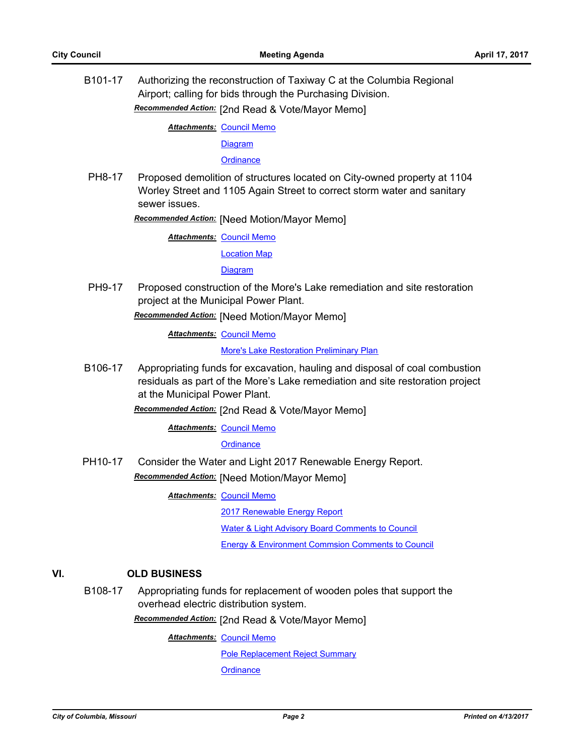B101-17 Authorizing the reconstruction of Taxiway C at the Columbia Regional Airport; calling for bids through the Purchasing Division. *Recommended Action:* [2nd Read & Vote/Mayor Memo]

**Attachments: [Council Memo](http://gocolumbiamo.legistar.com/gateway.aspx?M=F&ID=d45054e0-411b-41bd-8676-9105160de1ba.docx)** 

**[Diagram](http://gocolumbiamo.legistar.com/gateway.aspx?M=F&ID=902c0891-ee3f-4d48-bdc4-7b07bbbe4ec5.pdf)** 

**[Ordinance](http://gocolumbiamo.legistar.com/gateway.aspx?M=F&ID=6e0c2dfe-1286-411d-bb60-3c0a82c5ef55.doc)** 

PH8-17 Proposed demolition of structures located on City-owned property at 1104 Worley Street and 1105 Again Street to correct storm water and sanitary sewer issues.

*Recommended Action:* [Need Motion/Mayor Memo]

**Attachments: [Council Memo](http://gocolumbiamo.legistar.com/gateway.aspx?M=F&ID=48094d3e-0ab8-4c98-af6e-8e1551785bf3.docx)** 

[Location Map](http://gocolumbiamo.legistar.com/gateway.aspx?M=F&ID=b0bf0a38-752c-4f57-9b53-e7bce55e0762.pdf)

**[Diagram](http://gocolumbiamo.legistar.com/gateway.aspx?M=F&ID=11349c80-1294-429c-9c0d-7841e3acecd5.pdf)** 

PH9-17 Proposed construction of the More's Lake remediation and site restoration project at the Municipal Power Plant.

*Recommended Action:* [Need Motion/Mayor Memo]

**Attachments: [Council Memo](http://gocolumbiamo.legistar.com/gateway.aspx?M=F&ID=d0f127cd-fcfa-4cdd-9ec1-7c6f325398dd.docx)** 

[More's Lake Restoration Preliminary Plan](http://gocolumbiamo.legistar.com/gateway.aspx?M=F&ID=2d7c9c8e-b5fb-4993-9594-0c42a859d177.pdf)

B106-17 Appropriating funds for excavation, hauling and disposal of coal combustion residuals as part of the More's Lake remediation and site restoration project at the Municipal Power Plant.

*Recommended Action:* [2nd Read & Vote/Mayor Memo]

**Attachments: [Council Memo](http://gocolumbiamo.legistar.com/gateway.aspx?M=F&ID=253da577-5189-4914-a6e4-36ba8282ea13.docx)** 

**[Ordinance](http://gocolumbiamo.legistar.com/gateway.aspx?M=F&ID=af0dc403-d7c2-45dc-940c-9505dd57b04c.doc)** 

PH10-17 Consider the Water and Light 2017 Renewable Energy Report. *Recommended Action:* [Need Motion/Mayor Memo]

**Attachments: [Council Memo](http://gocolumbiamo.legistar.com/gateway.aspx?M=F&ID=5c1887cc-9711-4def-94b0-0b28b34d8193.docx)** 

[2017 Renewable Energy Report](http://gocolumbiamo.legistar.com/gateway.aspx?M=F&ID=e65b7714-eeed-4504-a819-0c1b70288f16.pdf)

[Water & Light Advisory Board Comments to Council](http://gocolumbiamo.legistar.com/gateway.aspx?M=F&ID=e8be8dc6-d949-409f-8e60-233382f2bbf2.pdf)

[Energy & Environment Commsion Comments to Council](http://gocolumbiamo.legistar.com/gateway.aspx?M=F&ID=2899a190-3901-4901-b67b-cb65367fa246.pdf)

# **VI. OLD BUSINESS**

B108-17 Appropriating funds for replacement of wooden poles that support the overhead electric distribution system.

*Recommended Action:* [2nd Read & Vote/Mayor Memo]

**Attachments: [Council Memo](http://gocolumbiamo.legistar.com/gateway.aspx?M=F&ID=51d7d0a0-fb0a-445b-8b63-c81a0b425786.docx)** 

[Pole Replacement Reject Summary](http://gocolumbiamo.legistar.com/gateway.aspx?M=F&ID=f6b6703e-ffa3-466c-b19a-8ca60e025fdf.pdf)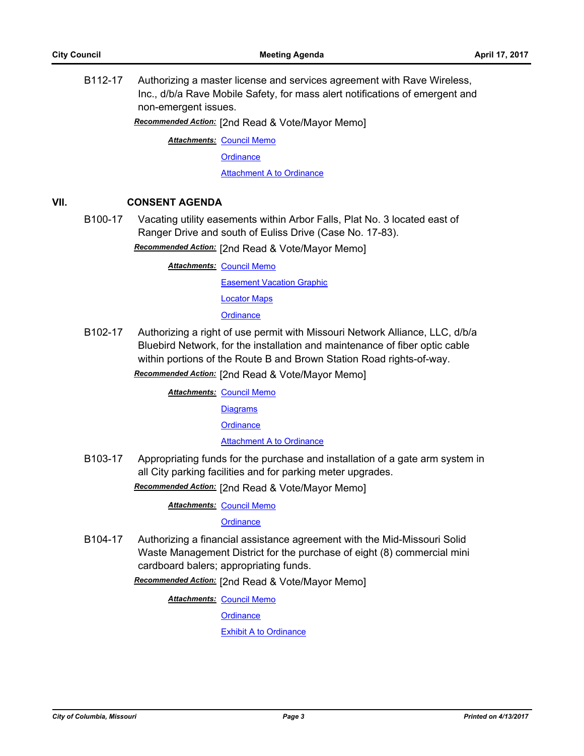B112-17 Authorizing a master license and services agreement with Rave Wireless, Inc., d/b/a Rave Mobile Safety, for mass alert notifications of emergent and non-emergent issues.

*Recommended Action:* [2nd Read & Vote/Mayor Memo]

**Attachments: [Council Memo](http://gocolumbiamo.legistar.com/gateway.aspx?M=F&ID=11dd9235-e656-4a9f-94a2-efebcdd4d6c1.docx)** 

**[Ordinance](http://gocolumbiamo.legistar.com/gateway.aspx?M=F&ID=b54f4e16-7a6a-4ea9-be90-ecbf3ac38500.doc)** 

**[Attachment A to Ordinance](http://gocolumbiamo.legistar.com/gateway.aspx?M=F&ID=97abfa6b-1365-4c17-9273-44b8fdeff454.pdf)** 

## **VII. CONSENT AGENDA**

B100-17 Vacating utility easements within Arbor Falls, Plat No. 3 located east of Ranger Drive and south of Euliss Drive (Case No. 17-83).

*Recommended Action:* [2nd Read & Vote/Mayor Memo]

**Attachments: [Council Memo](http://gocolumbiamo.legistar.com/gateway.aspx?M=F&ID=2f5d6646-0b0a-47e6-b9bd-f5ca7fda6fd7.docx)** [Easement Vacation Graphic](http://gocolumbiamo.legistar.com/gateway.aspx?M=F&ID=8c880248-3a34-4c91-87e9-3683776b16ae.pdf) [Locator Maps](http://gocolumbiamo.legistar.com/gateway.aspx?M=F&ID=c5cef5a7-3364-4075-98de-b55a403bd8d3.pdf) **[Ordinance](http://gocolumbiamo.legistar.com/gateway.aspx?M=F&ID=b65f5e74-f86f-400a-9f77-86ec2ad7c3e8.doc)** 

B102-17 Authorizing a right of use permit with Missouri Network Alliance, LLC, d/b/a Bluebird Network, for the installation and maintenance of fiber optic cable within portions of the Route B and Brown Station Road rights-of-way.

*Recommended Action:* [2nd Read & Vote/Mayor Memo]

**Attachments: [Council Memo](http://gocolumbiamo.legistar.com/gateway.aspx?M=F&ID=9bf41424-7d44-42ff-b349-7df7cd8a0fb3.docx) [Diagrams](http://gocolumbiamo.legistar.com/gateway.aspx?M=F&ID=299f3559-bc24-469f-9a8a-0da9939a45ae.pdf)** 

**[Ordinance](http://gocolumbiamo.legistar.com/gateway.aspx?M=F&ID=505945c5-db61-49f0-a5bc-1a4e5275ffce.doc)** 

[Attachment A to Ordinance](http://gocolumbiamo.legistar.com/gateway.aspx?M=F&ID=ac69c1d1-6109-4aec-b0ea-26bd17f9ff0d.pdf)

B103-17 Appropriating funds for the purchase and installation of a gate arm system in all City parking facilities and for parking meter upgrades.

*Recommended Action:* [2nd Read & Vote/Mayor Memo]

**Attachments: [Council Memo](http://gocolumbiamo.legistar.com/gateway.aspx?M=F&ID=ee777b16-0c14-4f1e-8acd-893b64346fec.docx)** 

**[Ordinance](http://gocolumbiamo.legistar.com/gateway.aspx?M=F&ID=2c8408cc-fb9f-400d-b871-3cd8ef45864c.doc)** 

B104-17 Authorizing a financial assistance agreement with the Mid-Missouri Solid Waste Management District for the purchase of eight (8) commercial mini cardboard balers; appropriating funds.

*Recommended Action:* [2nd Read & Vote/Mayor Memo]

**Attachments: [Council Memo](http://gocolumbiamo.legistar.com/gateway.aspx?M=F&ID=88025a12-3824-4b62-9df7-e717785c3152.docx)** 

**[Ordinance](http://gocolumbiamo.legistar.com/gateway.aspx?M=F&ID=53a7afa5-585b-42bf-a0b7-694486c23c17.doc)** 

[Exhibit A to Ordinance](http://gocolumbiamo.legistar.com/gateway.aspx?M=F&ID=494e5d18-41a7-4fd1-9747-83d2a9a6f9f8.pdf)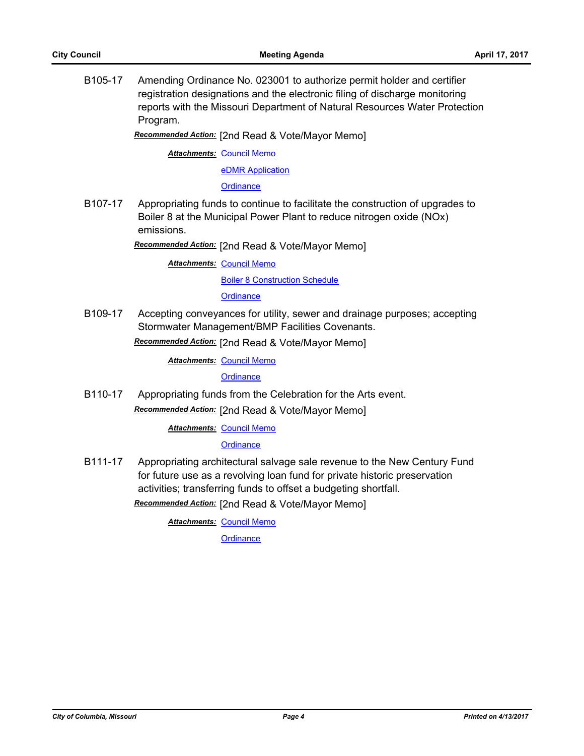B105-17 Amending Ordinance No. 023001 to authorize permit holder and certifier registration designations and the electronic filing of discharge monitoring reports with the Missouri Department of Natural Resources Water Protection Program.

*Recommended Action:* [2nd Read & Vote/Mayor Memo]

**Attachments: [Council Memo](http://gocolumbiamo.legistar.com/gateway.aspx?M=F&ID=778de158-a46a-4ed7-808d-f50dafd3020e.docx)** 

[eDMR Application](http://gocolumbiamo.legistar.com/gateway.aspx?M=F&ID=d2b278aa-18a1-45ca-8154-7d955f57e69f.pdf)

**[Ordinance](http://gocolumbiamo.legistar.com/gateway.aspx?M=F&ID=4acc1796-806d-44ca-af8c-e11327998b8e.doc)** 

B107-17 Appropriating funds to continue to facilitate the construction of upgrades to Boiler 8 at the Municipal Power Plant to reduce nitrogen oxide (NOx) emissions.

*Recommended Action:* [2nd Read & Vote/Mayor Memo]

**Attachments: [Council Memo](http://gocolumbiamo.legistar.com/gateway.aspx?M=F&ID=cadad320-c4a5-430e-b4a1-7abe617bba4f.docx)** [Boiler 8 Construction Schedule](http://gocolumbiamo.legistar.com/gateway.aspx?M=F&ID=63b38a67-51fc-4609-ab1f-2b5cd01976d7.pdf)

**[Ordinance](http://gocolumbiamo.legistar.com/gateway.aspx?M=F&ID=0410a86d-eb78-42b7-a774-c9d0c6cb6716.doc)** 

B109-17 Accepting conveyances for utility, sewer and drainage purposes; accepting Stormwater Management/BMP Facilities Covenants.

*Recommended Action:* [2nd Read & Vote/Mayor Memo]

**Attachments: [Council Memo](http://gocolumbiamo.legistar.com/gateway.aspx?M=F&ID=57f2c6b6-9278-421f-b776-3571cc45bb22.docx)** 

**[Ordinance](http://gocolumbiamo.legistar.com/gateway.aspx?M=F&ID=f2d7eff8-ee51-4cbb-9d50-3768021b1f7c.doc)** 

B110-17 Appropriating funds from the Celebration for the Arts event. *Recommended Action:* [2nd Read & Vote/Mayor Memo]

**Attachments: [Council Memo](http://gocolumbiamo.legistar.com/gateway.aspx?M=F&ID=63b629ec-1df7-45cb-a152-92e409daf695.docx)** 

**[Ordinance](http://gocolumbiamo.legistar.com/gateway.aspx?M=F&ID=983e26ab-e3d1-4fd9-8f87-6d4eb0a5e5fc.doc)** 

B111-17 Appropriating architectural salvage sale revenue to the New Century Fund for future use as a revolving loan fund for private historic preservation activities; transferring funds to offset a budgeting shortfall.

*Recommended Action:* [2nd Read & Vote/Mayor Memo]

**Attachments: [Council Memo](http://gocolumbiamo.legistar.com/gateway.aspx?M=F&ID=e41357ce-2ec0-4e98-9670-e1f46d10cb1c.docx)**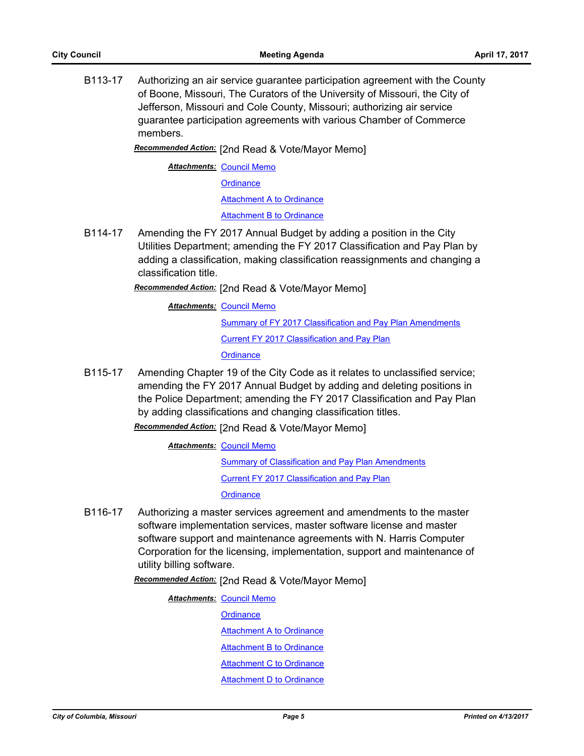B113-17 Authorizing an air service guarantee participation agreement with the County of Boone, Missouri, The Curators of the University of Missouri, the City of Jefferson, Missouri and Cole County, Missouri; authorizing air service guarantee participation agreements with various Chamber of Commerce members.

*Recommended Action:* [2nd Read & Vote/Mayor Memo]

**Attachments: [Council Memo](http://gocolumbiamo.legistar.com/gateway.aspx?M=F&ID=98523db3-a5d4-4354-b6bd-6de68fe978bf.docx)** 

**[Ordinance](http://gocolumbiamo.legistar.com/gateway.aspx?M=F&ID=3f09d715-cf5e-412c-9955-67c6cf5dcc95.doc)** 

[Attachment A to Ordinance](http://gocolumbiamo.legistar.com/gateway.aspx?M=F&ID=d2ecbc97-6445-4c34-8e04-121b559624bd.pdf)

**[Attachment B to Ordinance](http://gocolumbiamo.legistar.com/gateway.aspx?M=F&ID=bf8f2c74-c8ab-40ba-8e32-93e60f1d9ce1.pdf)** 

B114-17 Amending the FY 2017 Annual Budget by adding a position in the City Utilities Department; amending the FY 2017 Classification and Pay Plan by adding a classification, making classification reassignments and changing a classification title.

*Recommended Action:* [2nd Read & Vote/Mayor Memo]

**Attachments: [Council Memo](http://gocolumbiamo.legistar.com/gateway.aspx?M=F&ID=f2d36ff9-a621-4275-94a1-0a8a4e5bc712.docx)** 

**[Summary of FY 2017 Classification and Pay Plan Amendments](http://gocolumbiamo.legistar.com/gateway.aspx?M=F&ID=9f093463-0e7e-43f5-ac02-81459f26eb4b.doc)** [Current FY 2017 Classification and Pay Plan](http://gocolumbiamo.legistar.com/gateway.aspx?M=F&ID=d10b32f7-e36a-4838-99f8-b86e64641965.pdf) **[Ordinance](http://gocolumbiamo.legistar.com/gateway.aspx?M=F&ID=3928b614-bce0-488f-ba95-b5f428521f99.doc)** 

B115-17 Amending Chapter 19 of the City Code as it relates to unclassified service; amending the FY 2017 Annual Budget by adding and deleting positions in the Police Department; amending the FY 2017 Classification and Pay Plan by adding classifications and changing classification titles.

*Recommended Action:* [2nd Read & Vote/Mayor Memo]

**Attachments: [Council Memo](http://gocolumbiamo.legistar.com/gateway.aspx?M=F&ID=de7532d2-b2bd-4073-aa0c-3e3e409e1887.docx)** 

**[Summary of Classification and Pay Plan Amendments](http://gocolumbiamo.legistar.com/gateway.aspx?M=F&ID=038c5073-5cc8-42fe-9dc1-43828aabb26d.doc)** [Current FY 2017 Classification and Pay Plan](http://gocolumbiamo.legistar.com/gateway.aspx?M=F&ID=db5180b9-5fa7-4550-94ff-480820c7053a.pdf)

**[Ordinance](http://gocolumbiamo.legistar.com/gateway.aspx?M=F&ID=9c2c1ce8-78ed-4807-83ea-c2fe9842b26f.doc)** 

B116-17 Authorizing a master services agreement and amendments to the master software implementation services, master software license and master software support and maintenance agreements with N. Harris Computer Corporation for the licensing, implementation, support and maintenance of utility billing software.

*Recommended Action:* [2nd Read & Vote/Mayor Memo]

**Attachments: [Council Memo](http://gocolumbiamo.legistar.com/gateway.aspx?M=F&ID=b60ee8e3-39d1-4e63-b07e-55e6880ce629.docx) [Ordinance](http://gocolumbiamo.legistar.com/gateway.aspx?M=F&ID=213c7b1f-ef7c-4c3f-8b16-274169f501e5.doc)** [Attachment A to Ordinance](http://gocolumbiamo.legistar.com/gateway.aspx?M=F&ID=75a1f426-8b3c-4aca-b109-156800dd25ce.pdf) [Attachment B to Ordinance](http://gocolumbiamo.legistar.com/gateway.aspx?M=F&ID=2fde8a2b-1552-442a-8c31-5e5d7933d359.pdf) [Attachment C to Ordinance](http://gocolumbiamo.legistar.com/gateway.aspx?M=F&ID=509f000d-0c0f-4c7b-9706-e6cdf1fd2e95.pdf) [Attachment D to Ordinance](http://gocolumbiamo.legistar.com/gateway.aspx?M=F&ID=00a170bc-9054-4117-917a-8f70cfd14f9d.pdf)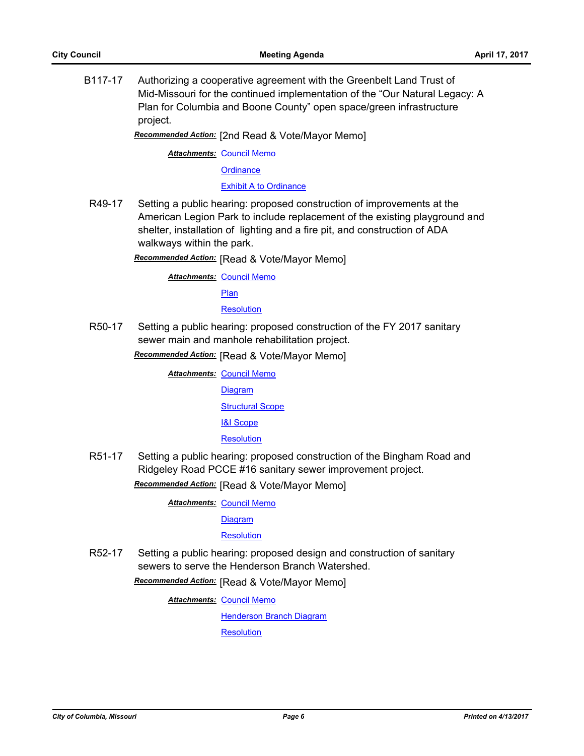B117-17 Authorizing a cooperative agreement with the Greenbelt Land Trust of Mid-Missouri for the continued implementation of the "Our Natural Legacy: A Plan for Columbia and Boone County" open space/green infrastructure project.

*Recommended Action:* [2nd Read & Vote/Mayor Memo]

**Attachments: [Council Memo](http://gocolumbiamo.legistar.com/gateway.aspx?M=F&ID=e8fda6bc-a92f-4009-9c38-cdf0bea84123.docx)** 

**[Ordinance](http://gocolumbiamo.legistar.com/gateway.aspx?M=F&ID=aae98a13-bc6f-4b1c-804b-2d20d64009e0.doc)** 

[Exhibit A to Ordinance](http://gocolumbiamo.legistar.com/gateway.aspx?M=F&ID=dca6472d-51f4-4460-9889-73984711733f.docx)

R49-17 Setting a public hearing: proposed construction of improvements at the American Legion Park to include replacement of the existing playground and shelter, installation of lighting and a fire pit, and construction of ADA walkways within the park.

*Recommended Action:* [Read & Vote/Mayor Memo]

**Attachments: [Council Memo](http://gocolumbiamo.legistar.com/gateway.aspx?M=F&ID=079685bd-ff3a-412d-9420-e6c464a36311.docx)** 

[Plan](http://gocolumbiamo.legistar.com/gateway.aspx?M=F&ID=4eaaec7e-fa01-403b-a810-deb40b16044a.jpg)

#### **[Resolution](http://gocolumbiamo.legistar.com/gateway.aspx?M=F&ID=7d0b7507-ae50-4756-9033-17e8f8d615b0.doc)**

R50-17 Setting a public hearing: proposed construction of the FY 2017 sanitary sewer main and manhole rehabilitation project.

*Recommended Action:* [Read & Vote/Mayor Memo]

- **Attachments: [Council Memo](http://gocolumbiamo.legistar.com/gateway.aspx?M=F&ID=fe4a65ce-5608-43c1-ae97-8964d4fef444.docx)** [Diagram](http://gocolumbiamo.legistar.com/gateway.aspx?M=F&ID=934824a7-dea2-407a-a99c-cb9d892a842e.pdf) [Structural Scope](http://gocolumbiamo.legistar.com/gateway.aspx?M=F&ID=fb70bdce-e668-4e18-a1c3-5f4ba316b1b9.pdf) [I&I Scope](http://gocolumbiamo.legistar.com/gateway.aspx?M=F&ID=1818b89c-b9d0-43ca-a88f-e02e8bb7b97a.pdf) **[Resolution](http://gocolumbiamo.legistar.com/gateway.aspx?M=F&ID=51cdc0ee-708a-406a-a127-f04e4caf2790.doc)**
- R51-17 Setting a public hearing: proposed construction of the Bingham Road and Ridgeley Road PCCE #16 sanitary sewer improvement project. *Recommended Action:* [Read & Vote/Mayor Memo]

**Attachments: [Council Memo](http://gocolumbiamo.legistar.com/gateway.aspx?M=F&ID=40dfb22d-394e-4a93-abe9-8d8d526c82f4.docx)** 

[Diagram](http://gocolumbiamo.legistar.com/gateway.aspx?M=F&ID=693d68e2-324a-444a-947a-2af64ddc219c.pdf)

[Resolution](http://gocolumbiamo.legistar.com/gateway.aspx?M=F&ID=0db44d88-4599-481e-9745-5600b5ab0824.doc)

R52-17 Setting a public hearing: proposed design and construction of sanitary sewers to serve the Henderson Branch Watershed.

*Recommended Action:* [Read & Vote/Mayor Memo]

**Attachments: [Council Memo](http://gocolumbiamo.legistar.com/gateway.aspx?M=F&ID=18c47991-fa73-40f0-ab34-5ef96edf2a27.docx)** 

[Henderson Branch Diagram](http://gocolumbiamo.legistar.com/gateway.aspx?M=F&ID=e0653d39-c369-409e-8a4a-c6213303d18a.pdf)

**[Resolution](http://gocolumbiamo.legistar.com/gateway.aspx?M=F&ID=ad51fc83-51d3-42fc-ac65-e5c6c8a953d6.doc)**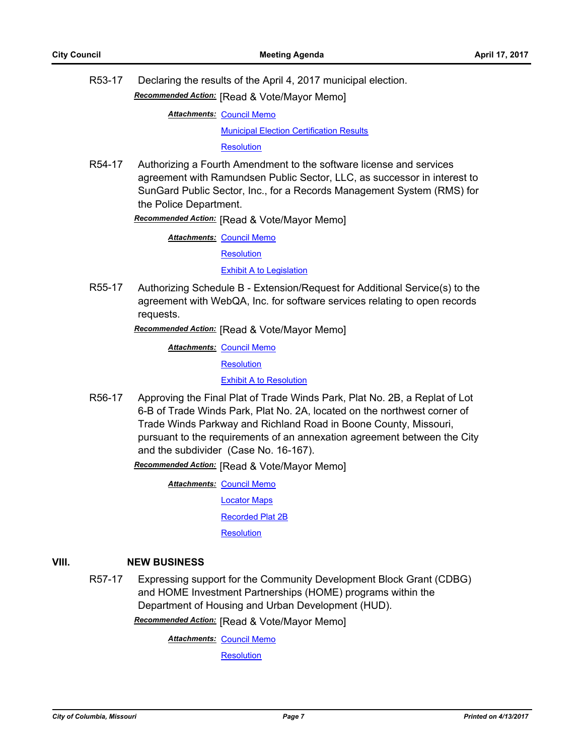R53-17 Declaring the results of the April 4, 2017 municipal election.

*Recommended Action:* [Read & Vote/Mayor Memo]

**Attachments: [Council Memo](http://gocolumbiamo.legistar.com/gateway.aspx?M=F&ID=e8b86ae7-5510-420c-a522-8af255e7c36c.docx)** 

[Municipal Election Certification Results](http://gocolumbiamo.legistar.com/gateway.aspx?M=F&ID=ce054345-6e01-4854-bda3-d0dacba8766a.pdf)

**[Resolution](http://gocolumbiamo.legistar.com/gateway.aspx?M=F&ID=e8b571f1-dd22-41dc-a34f-93c01b59d665.doc)** 

R54-17 Authorizing a Fourth Amendment to the software license and services agreement with Ramundsen Public Sector, LLC, as successor in interest to SunGard Public Sector, Inc., for a Records Management System (RMS) for the Police Department.

*Recommended Action:* [Read & Vote/Mayor Memo]

**Attachments: [Council Memo](http://gocolumbiamo.legistar.com/gateway.aspx?M=F&ID=4273b15c-7486-4f4d-92a4-bb9274550193.docx)** 

**[Resolution](http://gocolumbiamo.legistar.com/gateway.aspx?M=F&ID=2c16a840-3e81-441e-8983-3d674008d83e.doc)** 

[Exhibit A to Legislation](http://gocolumbiamo.legistar.com/gateway.aspx?M=F&ID=6e8d07cf-bc22-441e-8e70-480e66689fba.pdf)

R55-17 Authorizing Schedule B - Extension/Request for Additional Service(s) to the agreement with WebQA, Inc. for software services relating to open records requests.

*Recommended Action:* [Read & Vote/Mayor Memo]

**Attachments: [Council Memo](http://gocolumbiamo.legistar.com/gateway.aspx?M=F&ID=54d68750-53b5-4325-867a-ecdf4a347013.docx)** 

**[Resolution](http://gocolumbiamo.legistar.com/gateway.aspx?M=F&ID=08a6ebb5-c734-4fb0-9801-328321b51eb0.doc)** 

[Exhibit A to Resolution](http://gocolumbiamo.legistar.com/gateway.aspx?M=F&ID=4c850a2b-4226-4c81-9ae1-efb6408f6a75.pdf)

R56-17 Approving the Final Plat of Trade Winds Park, Plat No. 2B, a Replat of Lot 6-B of Trade Winds Park, Plat No. 2A, located on the northwest corner of Trade Winds Parkway and Richland Road in Boone County, Missouri, pursuant to the requirements of an annexation agreement between the City and the subdivider (Case No. 16-167).

*Recommended Action:* [Read & Vote/Mayor Memo]

**Attachments: [Council Memo](http://gocolumbiamo.legistar.com/gateway.aspx?M=F&ID=4e137aa6-4a1c-4e89-b398-3b57c7fb9d0a.docx)** [Locator Maps](http://gocolumbiamo.legistar.com/gateway.aspx?M=F&ID=2ef1822c-5bf3-4fa3-be57-f85fa3ae9e48.pdf) [Recorded Plat 2B](http://gocolumbiamo.legistar.com/gateway.aspx?M=F&ID=5e902999-7b38-4d26-a2e9-a7a1d6898274.pdf)

**[Resolution](http://gocolumbiamo.legistar.com/gateway.aspx?M=F&ID=e3a4fdaf-8d09-4f2c-9c01-8129f7164883.doc)** 

# **VIII. NEW BUSINESS**

R57-17 Expressing support for the Community Development Block Grant (CDBG) and HOME Investment Partnerships (HOME) programs within the Department of Housing and Urban Development (HUD).

*Recommended Action:* [Read & Vote/Mayor Memo]

**Attachments: [Council Memo](http://gocolumbiamo.legistar.com/gateway.aspx?M=F&ID=9c510a41-af34-4d38-9cec-ac5b310ea13c.docx)** 

**[Resolution](http://gocolumbiamo.legistar.com/gateway.aspx?M=F&ID=7f4ad016-3d96-4017-991b-b5d56cb4f90d.doc)**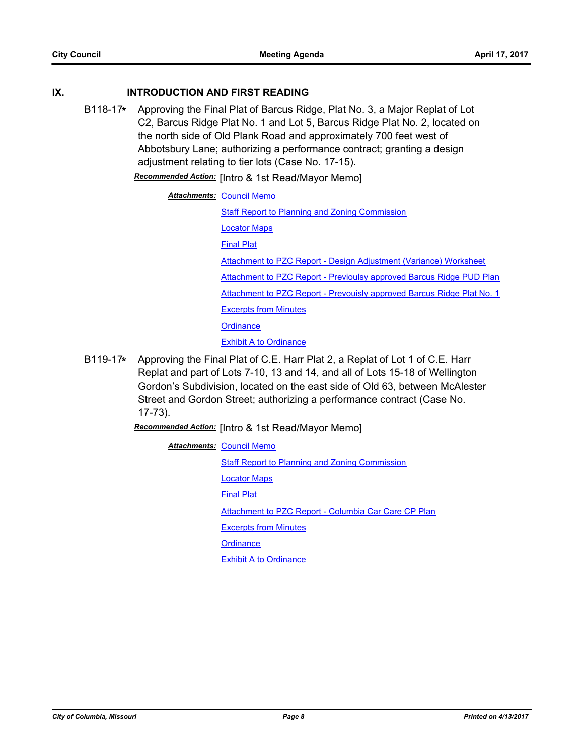## **IX. INTRODUCTION AND FIRST READING**

B118-17**\*** Approving the Final Plat of Barcus Ridge, Plat No. 3, a Major Replat of Lot C2, Barcus Ridge Plat No. 1 and Lot 5, Barcus Ridge Plat No. 2, located on the north side of Old Plank Road and approximately 700 feet west of Abbotsbury Lane; authorizing a performance contract; granting a design adjustment relating to tier lots (Case No. 17-15).

*Recommended Action:* [Intro & 1st Read/Mayor Memo]

# **Attachments: [Council Memo](http://gocolumbiamo.legistar.com/gateway.aspx?M=F&ID=98f46a21-aec1-4511-8935-51330b0acd6e.docx)**

[Staff Report to Planning and Zoning Commission](http://gocolumbiamo.legistar.com/gateway.aspx?M=F&ID=a08c9f2f-a526-4ac0-9a96-d07167a1ad70.pdf)

[Locator Maps](http://gocolumbiamo.legistar.com/gateway.aspx?M=F&ID=4aa3f5be-1dd1-4548-b926-badaa0d8c2bc.pdf)

[Final Plat](http://gocolumbiamo.legistar.com/gateway.aspx?M=F&ID=f4124ba7-9d61-413e-b2f8-c3f8b96931ac.pdf)

[Attachment to PZC Report - Design Adjustment \(Variance\) Worksheet](http://gocolumbiamo.legistar.com/gateway.aspx?M=F&ID=24a34f7d-2564-4df3-a3a8-1923c09e3d60.pdf) [Attachment to PZC Report - Previoulsy approved Barcus Ridge PUD Plan](http://gocolumbiamo.legistar.com/gateway.aspx?M=F&ID=737f95b9-9a78-41c9-afa7-c1fc6a6371ec.pdf) [Attachment to PZC Report - Prevouisly approved Barcus Ridge Plat No. 1](http://gocolumbiamo.legistar.com/gateway.aspx?M=F&ID=5fc9b79c-6c7a-4d46-932d-0cc91229176a.pdf) [Excerpts from Minutes](http://gocolumbiamo.legistar.com/gateway.aspx?M=F&ID=0994f96a-fbeb-4bf6-87e5-5429f4ac28b5.docx)

**[Ordinance](http://gocolumbiamo.legistar.com/gateway.aspx?M=F&ID=29d8c93d-3a3c-418e-87f3-7c32d002da31.doc)** 

[Exhibit A to Ordinance](http://gocolumbiamo.legistar.com/gateway.aspx?M=F&ID=2426b149-1911-4f39-919d-753de3d32ee9.pdf)

B119-17**\*** Approving the Final Plat of C.E. Harr Plat 2, a Replat of Lot 1 of C.E. Harr Replat and part of Lots 7-10, 13 and 14, and all of Lots 15-18 of Wellington Gordon's Subdivision, located on the east side of Old 63, between McAlester Street and Gordon Street; authorizing a performance contract (Case No. 17-73).

*Recommended Action:* [Intro & 1st Read/Mayor Memo]

**Attachments: [Council Memo](http://gocolumbiamo.legistar.com/gateway.aspx?M=F&ID=316965b7-c8ef-48f7-a204-e9721f8c708e.docx)** 

[Staff Report to Planning and Zoning Commission](http://gocolumbiamo.legistar.com/gateway.aspx?M=F&ID=1e6c5217-3030-4446-b68e-60afecde684c.pdf)

[Locator Maps](http://gocolumbiamo.legistar.com/gateway.aspx?M=F&ID=899dbbcc-fb4e-4f3a-8c60-ebc25c3f50c3.pdf)

[Final Plat](http://gocolumbiamo.legistar.com/gateway.aspx?M=F&ID=38755f5b-eeb3-4ab2-acd2-bfa527b187d5.pdf)

[Attachment to PZC Report - Columbia Car Care CP Plan](http://gocolumbiamo.legistar.com/gateway.aspx?M=F&ID=559acbf3-b26b-4e72-86fe-b3a197b26bde.pdf)

[Excerpts from Minutes](http://gocolumbiamo.legistar.com/gateway.aspx?M=F&ID=24249606-926f-4a11-870e-49133ab98067.docx)

**[Ordinance](http://gocolumbiamo.legistar.com/gateway.aspx?M=F&ID=2f524b79-3fde-447d-90cc-5613a10d5b6f.doc)** 

[Exhibit A to Ordinance](http://gocolumbiamo.legistar.com/gateway.aspx?M=F&ID=36f6aca2-7547-4995-bf66-32c67d115479.pdf)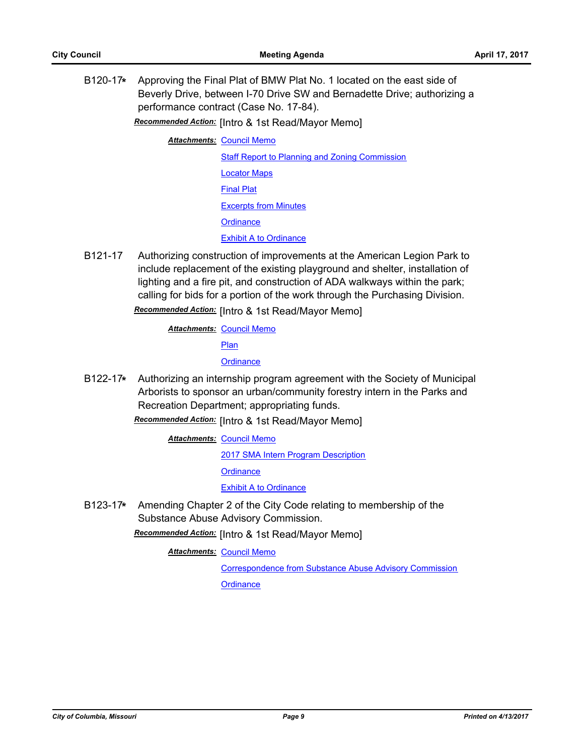B120-17**\*** Approving the Final Plat of BMW Plat No. 1 located on the east side of Beverly Drive, between I-70 Drive SW and Bernadette Drive; authorizing a performance contract (Case No. 17-84).

*Recommended Action:* [Intro & 1st Read/Mayor Memo]

**Attachments: [Council Memo](http://gocolumbiamo.legistar.com/gateway.aspx?M=F&ID=c11162a7-9b3f-4661-bb70-3e682db1a978.docx)** 

[Staff Report to Planning and Zoning Commission](http://gocolumbiamo.legistar.com/gateway.aspx?M=F&ID=d1aa8002-77f4-4a92-97a5-c38503bb2c7e.pdf) [Locator Maps](http://gocolumbiamo.legistar.com/gateway.aspx?M=F&ID=270b2efe-e76e-4069-813a-4abe2f5ed764.pdf) [Final Plat](http://gocolumbiamo.legistar.com/gateway.aspx?M=F&ID=f714e9fc-8bff-4721-bef1-e031452d2acb.pdf) [Excerpts from Minutes](http://gocolumbiamo.legistar.com/gateway.aspx?M=F&ID=bd23b109-fc21-4548-a063-94c95e35194f.docx) **[Ordinance](http://gocolumbiamo.legistar.com/gateway.aspx?M=F&ID=c24281e8-c8e5-43fe-8daf-69aea2d75fe3.doc)** [Exhibit A to Ordinance](http://gocolumbiamo.legistar.com/gateway.aspx?M=F&ID=64417592-de87-4e3b-b373-18ec9801e089.pdf)

B121-17 Authorizing construction of improvements at the American Legion Park to include replacement of the existing playground and shelter, installation of lighting and a fire pit, and construction of ADA walkways within the park; calling for bids for a portion of the work through the Purchasing Division.

*Recommended Action:* [Intro & 1st Read/Mayor Memo]

**Attachments: [Council Memo](http://gocolumbiamo.legistar.com/gateway.aspx?M=F&ID=0484899a-5ecd-40ea-9a05-e009b2946c0f.docx)** [Plan](http://gocolumbiamo.legistar.com/gateway.aspx?M=F&ID=5380ed0e-1013-46fa-ac95-20a4b22ac33c.jpg) **[Ordinance](http://gocolumbiamo.legistar.com/gateway.aspx?M=F&ID=6c7d9855-4c64-46d3-9a47-ce8493c8a04b.doc)** 

B122-17**\*** Authorizing an internship program agreement with the Society of Municipal Arborists to sponsor an urban/community forestry intern in the Parks and Recreation Department; appropriating funds.

*Recommended Action:* [Intro & 1st Read/Mayor Memo]

**Attachments: [Council Memo](http://gocolumbiamo.legistar.com/gateway.aspx?M=F&ID=d3f8d4a4-f885-4e11-9256-66b45aa5e6db.docx)** 

[2017 SMA Intern Program Description](http://gocolumbiamo.legistar.com/gateway.aspx?M=F&ID=6210cdf5-dfcb-4460-a575-c3300637fc79.pdf) **[Ordinance](http://gocolumbiamo.legistar.com/gateway.aspx?M=F&ID=07d92a42-c50b-4497-afb0-ca119dbf108f.doc) [Exhibit A to Ordinance](http://gocolumbiamo.legistar.com/gateway.aspx?M=F&ID=0c5f0907-ecbb-48d6-958e-f08619619224.docx)** 

B123-17**\*** Amending Chapter 2 of the City Code relating to membership of the Substance Abuse Advisory Commission.

*Recommended Action:* [Intro & 1st Read/Mayor Memo]

**Attachments: [Council Memo](http://gocolumbiamo.legistar.com/gateway.aspx?M=F&ID=9654de09-d31c-44a0-bb9c-79e558cf5442.docx)** 

[Correspondence from Substance Abuse Advisory Commission](http://gocolumbiamo.legistar.com/gateway.aspx?M=F&ID=6514fe32-10c2-45f4-814e-bbe8799336c6.docx)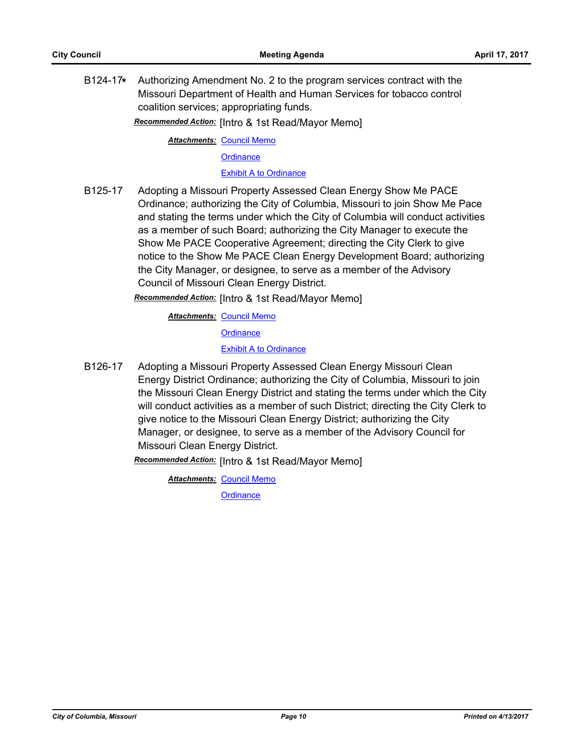B124-17**\*** Authorizing Amendment No. 2 to the program services contract with the Missouri Department of Health and Human Services for tobacco control coalition services; appropriating funds.

*Recommended Action:* [Intro & 1st Read/Mayor Memo]

**Attachments: [Council Memo](http://gocolumbiamo.legistar.com/gateway.aspx?M=F&ID=e82d4865-e326-44b2-9039-ca18e442c323.docx)** 

**[Ordinance](http://gocolumbiamo.legistar.com/gateway.aspx?M=F&ID=4f49f265-5e43-4fca-9525-aba3137d9e61.doc)** 

[Exhibit A to Ordinance](http://gocolumbiamo.legistar.com/gateway.aspx?M=F&ID=75b0f380-8ab9-414c-97d4-575eb9d8a38c.pdf)

B125-17 Adopting a Missouri Property Assessed Clean Energy Show Me PACE Ordinance; authorizing the City of Columbia, Missouri to join Show Me Pace and stating the terms under which the City of Columbia will conduct activities as a member of such Board; authorizing the City Manager to execute the Show Me PACE Cooperative Agreement; directing the City Clerk to give notice to the Show Me PACE Clean Energy Development Board; authorizing the City Manager, or designee, to serve as a member of the Advisory Council of Missouri Clean Energy District.

*Recommended Action:* [Intro & 1st Read/Mayor Memo]

**Attachments: [Council Memo](http://gocolumbiamo.legistar.com/gateway.aspx?M=F&ID=7fc269a9-fae2-4ed8-bd8b-eb01b99ad12e.docx)** 

**[Ordinance](http://gocolumbiamo.legistar.com/gateway.aspx?M=F&ID=07462f43-afbc-4a60-92dd-2b9b0c58682d.doc)** 

### [Exhibit A to Ordinance](http://gocolumbiamo.legistar.com/gateway.aspx?M=F&ID=076b6385-f93a-4141-bab3-7c1d2310b8b2.docx)

B126-17 Adopting a Missouri Property Assessed Clean Energy Missouri Clean Energy District Ordinance; authorizing the City of Columbia, Missouri to join the Missouri Clean Energy District and stating the terms under which the City will conduct activities as a member of such District; directing the City Clerk to give notice to the Missouri Clean Energy District; authorizing the City Manager, or designee, to serve as a member of the Advisory Council for Missouri Clean Energy District.

*Recommended Action:* [Intro & 1st Read/Mayor Memo]

**Attachments: [Council Memo](http://gocolumbiamo.legistar.com/gateway.aspx?M=F&ID=f1f942a2-cde5-47f9-8331-e47959cd7e7b.docx)**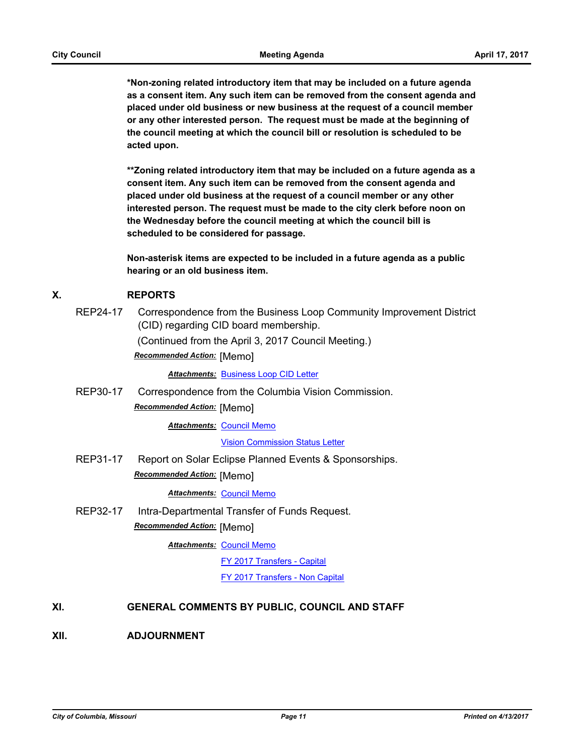**\*Non-zoning related introductory item that may be included on a future agenda as a consent item. Any such item can be removed from the consent agenda and placed under old business or new business at the request of a council member or any other interested person. The request must be made at the beginning of the council meeting at which the council bill or resolution is scheduled to be acted upon.** 

**\*\*Zoning related introductory item that may be included on a future agenda as a consent item. Any such item can be removed from the consent agenda and placed under old business at the request of a council member or any other interested person. The request must be made to the city clerk before noon on the Wednesday before the council meeting at which the council bill is scheduled to be considered for passage.**

**Non-asterisk items are expected to be included in a future agenda as a public hearing or an old business item.**

### **X. REPORTS**

REP24-17 Correspondence from the Business Loop Community Improvement District (CID) regarding CID board membership. (Continued from the April 3, 2017 Council Meeting.)

*Recommended Action:* [Memo]

*Attachments:* [Business Loop CID Letter](http://gocolumbiamo.legistar.com/gateway.aspx?M=F&ID=dbf99ca2-ea1d-4e7a-bf5c-9461c6178885.pdf)

REP30-17 Correspondence from the Columbia Vision Commission.

*Recommended Action:* [Memo]

**Attachments: [Council Memo](http://gocolumbiamo.legistar.com/gateway.aspx?M=F&ID=96c03625-db77-42a9-8fc1-7ad795eec6a2.docx)** 

[Vision Commission Status Letter](http://gocolumbiamo.legistar.com/gateway.aspx?M=F&ID=77df80b3-6908-49e4-8998-52dc06cbe2e0.docx)

REP31-17 Report on Solar Eclipse Planned Events & Sponsorships. *Recommended Action:* [Memo]

### *Attachments:* [Council Memo](http://gocolumbiamo.legistar.com/gateway.aspx?M=F&ID=24654e2b-54bc-4498-9022-fd08db11dae0.docx)

REP32-17 Intra-Departmental Transfer of Funds Request.

*Recommended Action:* [Memo]

**Attachments: [Council Memo](http://gocolumbiamo.legistar.com/gateway.aspx?M=F&ID=30a1841c-aade-4beb-bdcf-c25f240a9d7f.docx)** 

[FY 2017 Transfers - Capital](http://gocolumbiamo.legistar.com/gateway.aspx?M=F&ID=f38503a0-a9c3-4ce4-9db9-84043fa26d19.pdf)

[FY 2017 Transfers - Non Capital](http://gocolumbiamo.legistar.com/gateway.aspx?M=F&ID=449b766a-3dd7-4e46-9f04-81823d6706c6.pdf)

## **XI. GENERAL COMMENTS BY PUBLIC, COUNCIL AND STAFF**

**XII. ADJOURNMENT**